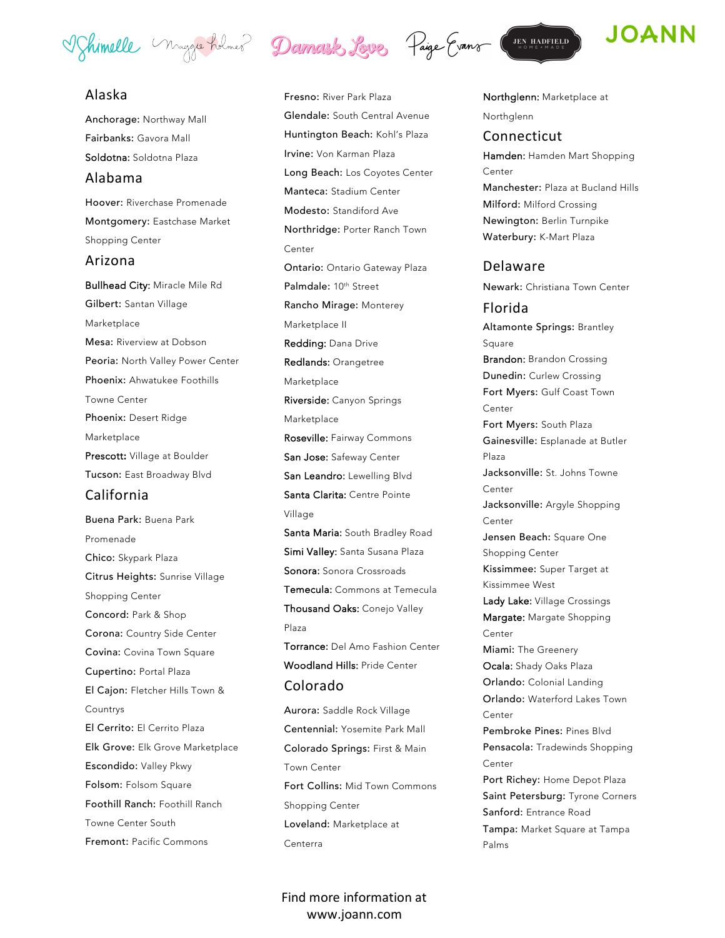Vohimelle Maggie holmes Damark Love Paige Evans (JEN HADFFELD)

# Alaska

Anchorage: Northway Mall Fairbanks: Gavora Mall Soldotna: Soldotna Plaza Alabama Hoover: Riverchase Promenade Montgomery: Eastchase Market Shopping Center Arizona Bullhead City: Miracle Mile Rd Gilbert: Santan Village Marketplace Mesa: Riverview at Dobson Peoria: North Valley Power Center Phoenix: Ahwatukee Foothills Towne Center Phoenix: Desert Ridge Marketplace Prescott: Village at Boulder Tucson: East Broadway Blvd California Buena Park: Buena Park Promenade Chico: Skypark Plaza Citrus Heights: Sunrise Village Shopping Center Concord: Park & Shop Corona: Country Side Center Covina: Covina Town Square Cupertino: Portal Plaza El Cajon: Fletcher Hills Town &

Countrys El Cerrito: El Cerrito Plaza Elk Grove: Elk Grove Marketplace Escondido: Valley Pkwy Folsom: Folsom Square Foothill Ranch: Foothill Ranch Towne Center South Fremont: Pacific Commons



Aurora: Saddle Rock Village Centennial: Yosemite Park Mall Colorado Springs: First & Main Town Center Fort Collins: Mid Town Commons Shopping Center Loveland: Marketplace at Centerra

Find more information at www.joann.com



# **JOANN**

Northglenn: Marketplace at

Northglenn

### Connecticut

Hamden: Hamden Mart Shopping Center Manchester: Plaza at Bucland Hills Milford: Milford Crossing Newington: Berlin Turnpike Waterbury: K-Mart Plaza

# Delaware

Newark: Christiana Town Center

### Florida

Altamonte Springs: Brantley Square Brandon: Brandon Crossing Dunedin: Curlew Crossing Fort Myers: Gulf Coast Town Center Fort Myers: South Plaza Gainesville: Esplanade at Butler Plaza Jacksonville: St. Johns Towne Center Jacksonville: Argyle Shopping Center Jensen Beach: Square One Shopping Center Kissimmee: Super Target at Kissimmee West Lady Lake: Village Crossings Margate: Margate Shopping Center Miami: The Greenery Ocala: Shady Oaks Plaza Orlando: Colonial Landing Orlando: Waterford Lakes Town Center Pembroke Pines: Pines Blvd Pensacola: Tradewinds Shopping Center Port Richey: Home Depot Plaza Saint Petersburg: Tyrone Corners Sanford: Entrance Road Tampa: Market Square at Tampa Palms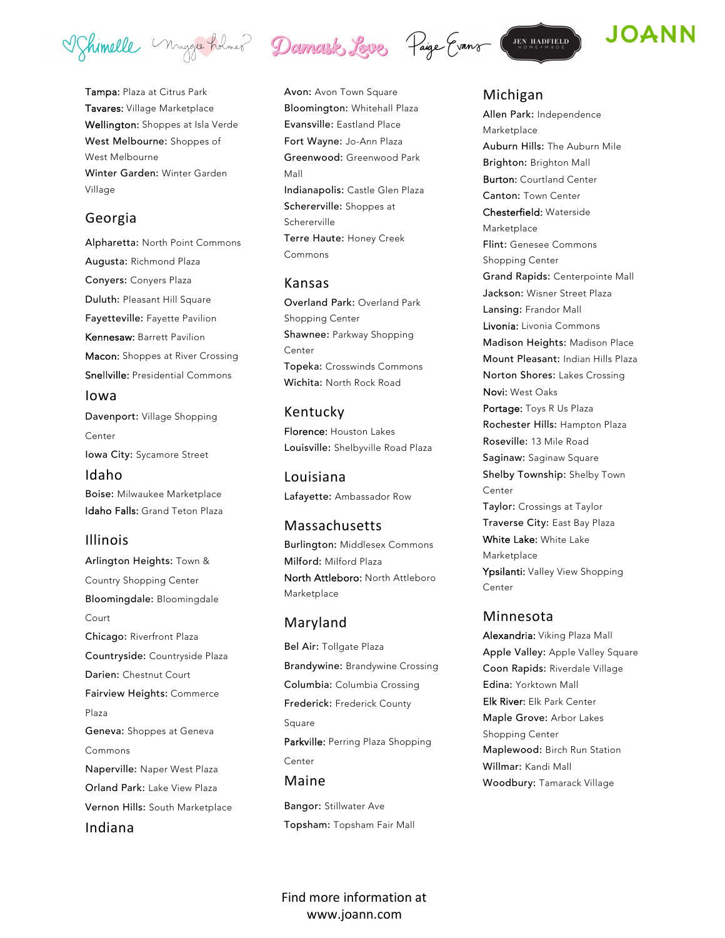Vohimelle Maggie holmes Damark Love Paige Evans

Tampa: Plaza at Citrus Park Tavares: Village Marketplace Wellington: Shoppes at Isla Verde West Melbourne: Shoppes of West Melbourne Winter Garden: Winter Garden Village

#### Georgia

Alpharetta: North Point Commons Augusta: Richmond Plaza Conyers: Conyers Plaza Duluth: Pleasant Hill Square Fayetteville: Fayette Pavilion Kennesaw: Barrett Pavilion Macon: Shoppes at River Crossing Snellville: Presidential Commons Iowa

Davenport: Village Shopping Center Iowa City: Sycamore Street Idaho

Boise: Milwaukee Marketplace Idaho Falls: Grand Teton Plaza

#### Illinois

Arlington Heights: Town & Country Shopping Center Bloomingdale: Bloomingdale Court Chicago: Riverfront Plaza Countryside: Countryside Plaza Darien: Chestnut Court Fairview Heights: Commerce Plaza Geneva: Shoppes at Geneva Commons Naperville: Naper West Plaza Orland Park: Lake View Plaza Vernon Hills: South Marketplace Indiana



# Kansas

Overland Park: Overland Park Shopping Center Shawnee: Parkway Shopping Center Topeka: Crosswinds Commons Wichita: North Rock Road

#### Kentucky

Florence: Houston Lakes Louisville: Shelbyville Road Plaza

Louisiana Lafayette: Ambassador Row

# Massachusetts

Burlington: Middlesex Commons Milford: Milford Plaza North Attleboro: North Attleboro Marketplace

#### Maryland

Bel Air: Tollgate Plaza Brandywine: Brandywine Crossing Columbia: Columbia Crossing Frederick: Frederick County Square Parkville: Perring Plaza Shopping Center Maine Bangor: Stillwater Ave

Topsham: Topsham Fair Mall





#### Michigan

Allen Park: Independence Marketplace Auburn Hills: The Auburn Mile Brighton: Brighton Mall Burton: Courtland Center Canton: Town Center Chesterfield: Waterside Marketplace Flint: Genesee Commons Shopping Center Grand Rapids: Centerpointe Mall Jackson: Wisner Street Plaza Lansing: Frandor Mall Livonia: Livonia Commons Madison Heights: Madison Place Mount Pleasant: Indian Hills Plaza Norton Shores: Lakes Crossing Novi: West Oaks Portage: Toys R Us Plaza Rochester Hills: Hampton Plaza Roseville: 13 Mile Road Saginaw: Saginaw Square Shelby Township: Shelby Town Center Taylor: Crossings at Taylor Traverse City: East Bay Plaza White Lake: White Lake Marketplace Ypsilanti: Valley View Shopping Center Minnesota

Alexandria: Viking Plaza Mall Apple Valley: Apple Valley Square Coon Rapids: Riverdale Village Edina: Yorktown Mall Elk River: Elk Park Center Maple Grove: Arbor Lakes Shopping Center Maplewood: Birch Run Station Willmar: Kandi Mall Woodbury: Tamarack Village

Find more information at www.joann.com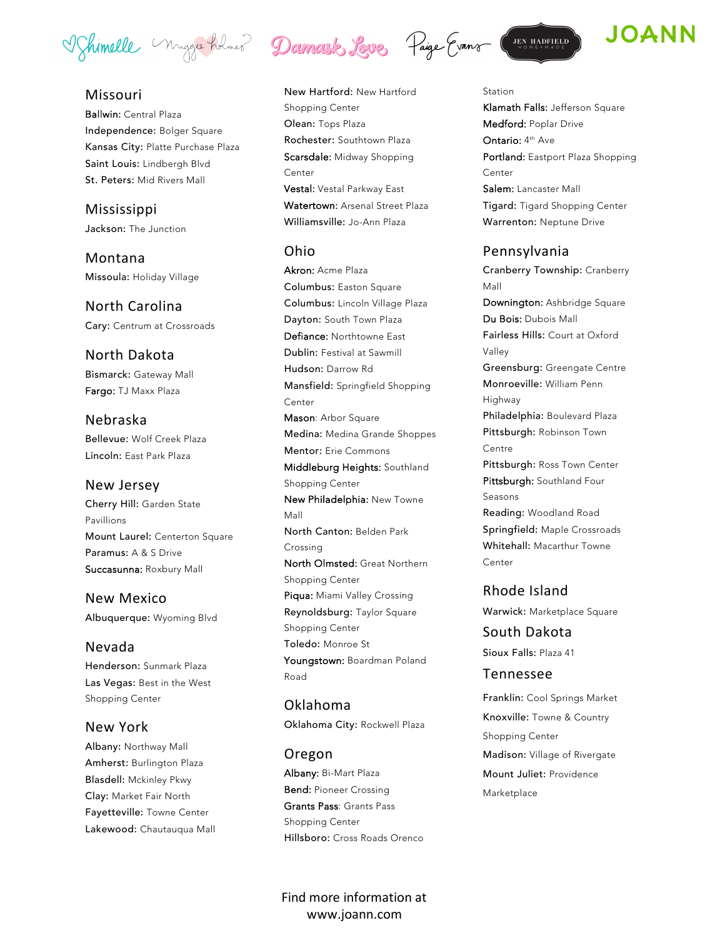Vohimelle Maggie holmes Damark Love Paige Evans (JEN HADFFELD)

### Missouri

Ballwin: Central Plaza Independence: Bolger Square Kansas City: Platte Purchase Plaza Saint Louis: Lindbergh Blvd St. Peters: Mid Rivers Mall

Mississippi Jackson: The Junction

Montana Missoula: Holiday Village

North Carolina Cary: Centrum at Crossroads

North Dakota Bismarck: Gateway Mall Fargo: TJ Maxx Plaza

Nebraska Bellevue: Wolf Creek Plaza Lincoln: East Park Plaza

#### New Jersey

Cherry Hill: Garden State Pavillions Mount Laurel: Centerton Square Paramus: A & S Drive Succasunna: Roxbury Mall

New Mexico Albuquerque: Wyoming Blvd

#### Nevada

Henderson: Sunmark Plaza Las Vegas: Best in the West Shopping Center

#### New York

Albany: Northway Mall Amherst: Burlington Plaza Blasdell: Mckinley Pkwy Clay: Market Fair North Fayetteville: Towne Center Lakewood: Chautauqua Mall

New Hartford: New Hartford Shopping Center Olean: Tops Plaza Rochester: Southtown Plaza Scarsdale: Midway Shopping Center Vestal: Vestal Parkway East Watertown: Arsenal Street Plaza Williamsville: Jo-Ann Plaza

#### Ohio

Akron: Acme Plaza Columbus: Easton Square Columbus: Lincoln Village Plaza Dayton: South Town Plaza Defiance: Northtowne East Dublin: Festival at Sawmill Hudson: Darrow Rd Mansfield: Springfield Shopping Center Mason: Arbor Square Medina: Medina Grande Shoppes Mentor: Erie Commons Middleburg Heights: Southland Shopping Center New Philadelphia: New Towne Mall North Canton: Belden Park Crossing North Olmsted: Great Northern Shopping Center Piqua: Miami Valley Crossing Reynoldsburg: Taylor Square Shopping Center Toledo: Monroe St Youngstown: Boardman Poland Road

Oklahoma Oklahoma City: Rockwell Plaza

Oregon Albany: Bi-Mart Plaza Bend: Pioneer Crossing Grants Pass: Grants Pass Shopping Center Hillsboro: Cross Roads Orenco

Find more information at www.joann.com





#### Station

Klamath Falls: Jefferson Square Medford: Poplar Drive Ontario: 4<sup>th</sup> Ave Portland: Eastport Plaza Shopping Center Salem: Lancaster Mall Tigard: Tigard Shopping Center Warrenton: Neptune Drive

#### Pennsylvania

Cranberry Township: Cranberry Mall Downington: Ashbridge Square Du Bois: Dubois Mall Fairless Hills: Court at Oxford Valley Greensburg: Greengate Centre Monroeville: William Penn Highway Philadelphia: Boulevard Plaza Pittsburgh: Robinson Town Centre Pittsburgh: Ross Town Center Pittsburgh: Southland Four Seasons Reading: Woodland Road Springfield: Maple Crossroads Whitehall: Macarthur Towne Center

### Rhode Island

Warwick: Marketplace Square

South Dakota Sioux Falls: Plaza 41

#### Tennessee

Franklin: Cool Springs Market Knoxville: Towne & Country Shopping Center Madison: Village of Rivergate Mount Juliet: Providence Marketplace